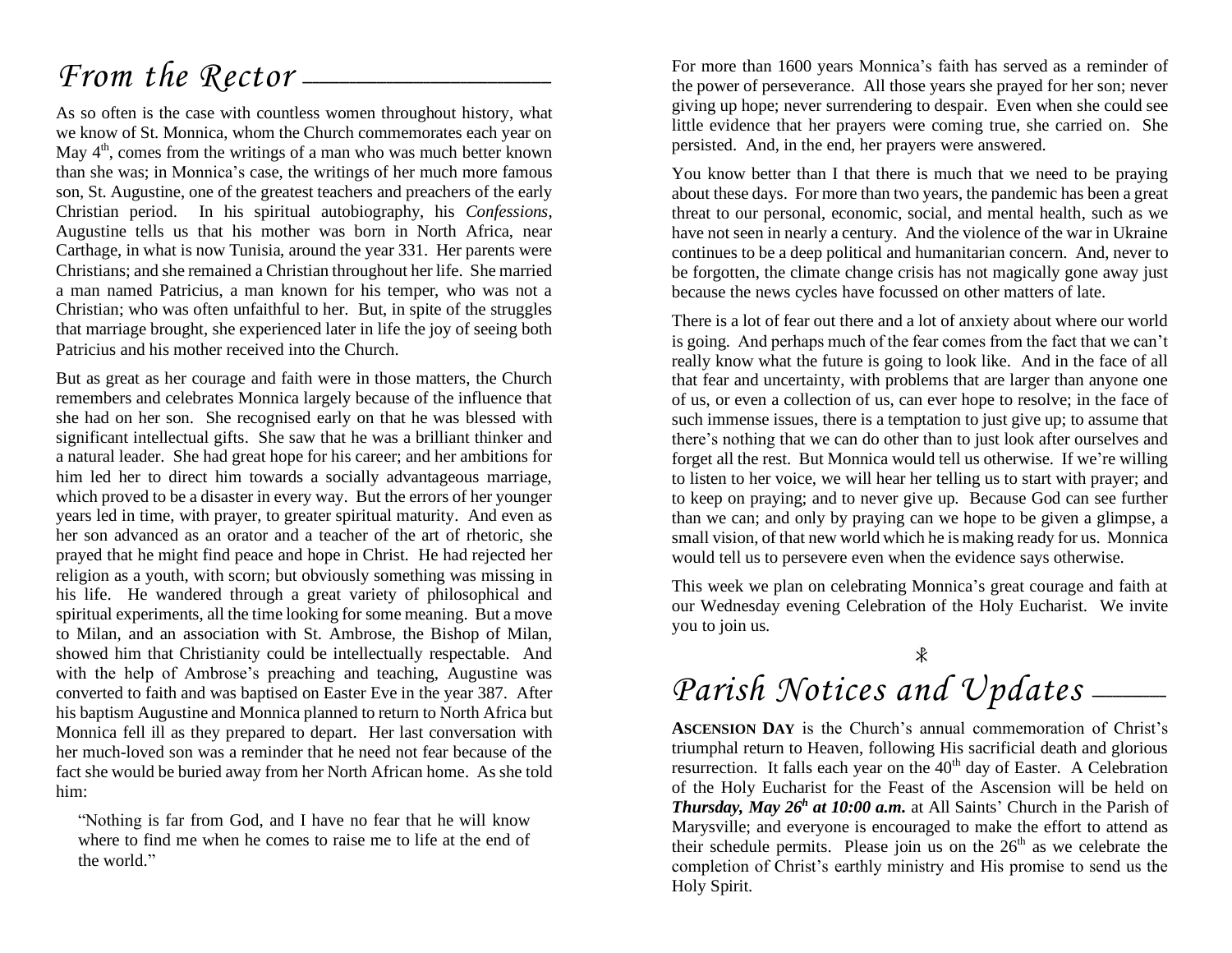## From the Rector --

As so often is the case with countless women throughout history, what we know of St. Monnica, whom the Church commemorates each year on May  $4<sup>th</sup>$ , comes from the writings of a man who was much better known than she was; in Monnica's case, the writings of her much more famous son, St. Augustine, one of the greatest teachers and preachers of the early Christian period. In his spiritual autobiography, his *Confessions*, Augustine tells us that his mother was born in North Africa, near Carthage, in what is now Tunisia, around the year 331. Her parents were Christians; and she remained a Christian throughout her life. She married a man named Patricius, a man known for his temper, who was not a Christian; who was often unfaithful to her. But, in spite of the struggles that marriage brought, she experienced later in life the joy of seeing both Patricius and his mother received into the Church.

But as great as her courage and faith were in those matters, the Church remembers and celebrates Monnica largely because of the influence that she had on her son. She recognised early on that he was blessed with significant intellectual gifts. She saw that he was a brilliant thinker and a natural leader. She had great hope for his career; and her ambitions for him led her to direct him towards a socially advantageous marriage, which proved to be a disaster in every way. But the errors of her younger years led in time, with prayer, to greater spiritual maturity. And even as her son advanced as an orator and a teacher of the art of rhetoric, she prayed that he might find peace and hope in Christ. He had rejected her religion as a youth, with scorn; but obviously something was missing in his life. He wandered through a great variety of philosophical and spiritual experiments, all the time looking for some meaning. But a move to Milan, and an association with St. Ambrose, the Bishop of Milan, showed him that Christianity could be intellectually respectable. And with the help of Ambrose's preaching and teaching, Augustine was converted to faith and was baptised on Easter Eve in the year 387. After his baptism Augustine and Monnica planned to return to North Africa but Monnica fell ill as they prepared to depart. Her last conversation with her much-loved son was a reminder that he need not fear because of the fact she would be buried away from her North African home. As she told him:

"Nothing is far from God, and I have no fear that he will know where to find me when he comes to raise me to life at the end of the world."

For more than 1600 years Monnica's faith has served as a reminder of the power of perseverance. All those years she prayed for her son; never giving up hope; never surrendering to despair. Even when she could see little evidence that her prayers were coming true, she carried on. She persisted. And, in the end, her prayers were answered.

You know better than I that there is much that we need to be praying about these days. For more than two years, the pandemic has been a great threat to our personal, economic, social, and mental health, such as we have not seen in nearly a century. And the violence of the war in Ukraine continues to be a deep political and humanitarian concern. And, never to be forgotten, the climate change crisis has not magically gone away just because the news cycles have focussed on other matters of late.

There is a lot of fear out there and a lot of anxiety about where our world is going. And perhaps much of the fear comes from the fact that we can't really know what the future is going to look like. And in the face of all that fear and uncertainty, with problems that are larger than anyone one of us, or even a collection of us, can ever hope to resolve; in the face of such immense issues, there is a temptation to just give up; to assume that there's nothing that we can do other than to just look after ourselves and forget all the rest. But Monnica would tell us otherwise. If we're willing to listen to her voice, we will hear her telling us to start with prayer; and to keep on praying; and to never give up. Because God can see further than we can; and only by praying can we hope to be given a glimpse, a small vision, of that new world which he is making ready for us. Monnica would tell us to persevere even when the evidence says otherwise.

This week we plan on celebrating Monnica's great courage and faith at our Wednesday evening Celebration of the Holy Eucharist. We invite you to join us.

# Parish Notices and Updates \_\_\_\_\_

**ASCENSION DAY** is the Church's annual commemoration of Christ's triumphal return to Heaven, following His sacrificial death and glorious resurrection. It falls each year on the 40<sup>th</sup> day of Easter. A Celebration of the Holy Eucharist for the Feast of the Ascension will be held on *Thursday, May 26<sup>h</sup> at 10:00 a.m.* at All Saints' Church in the Parish of Marysville; and everyone is encouraged to make the effort to attend as their schedule permits. Please join us on the  $26<sup>th</sup>$  as we celebrate the completion of Christ's earthly ministry and His promise to send us the Holy Spirit.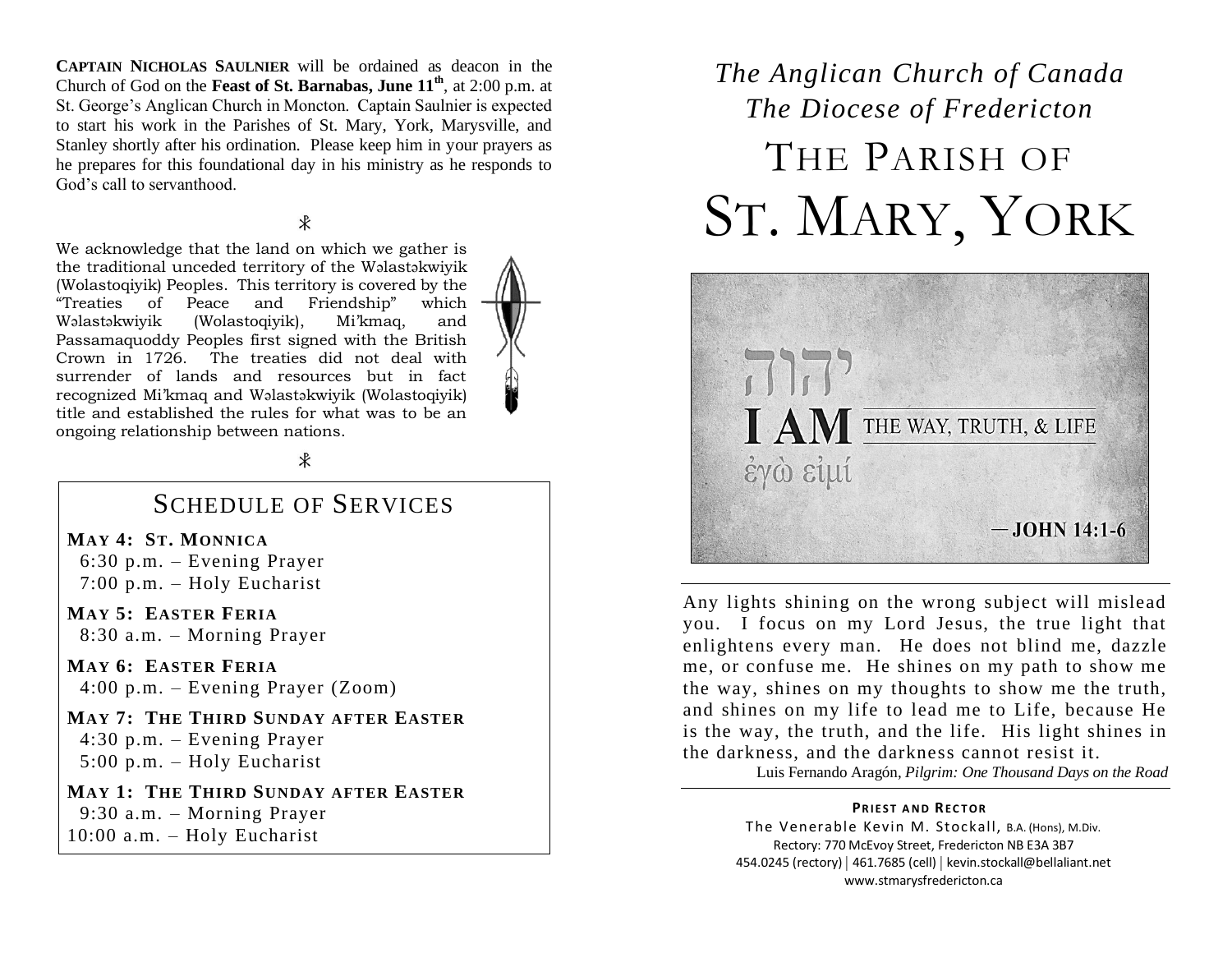**CAPTAIN NICHOLAS SAULNIER** will be ordained as deacon in the Church of God on the **Feast of St. Barnabas, June 11th**, at 2:00 p.m. at St. George's Anglican Church in Moncton. Captain Saulnier is expected to start his work in the Parishes of St. Mary, York, Marysville, and Stanley shortly after his ordination. Please keep him in your prayers as he prepares for this foundational day in his ministry as he responds to God's call to servanthood.

#### $\ast$

We acknowledge that the land on which we gather is the traditional unceded territory of the Wəlastəkwiyik (Wolastoqiyik) Peoples. This territory is covered by the "Treaties of Peace and Friendship" which Wəlastəkwiyik (Wolastoqiyik), Mi'kmaq, and Passamaquoddy Peoples first signed with the British Crown in 1726. The treaties did not deal with surrender of lands and resources but in fact recognized Mi'kmaq and Wəlastəkwiyik (Wolastoqiyik) title and established the rules for what was to be an ongoing relationship between nations.

 $\ast$ 

### SCHEDULE OF SERVICES

**MAY 4: ST. MONNICA**

 6:30 p.m. – Evening Prayer 7:00 p.m. – Holy Eucharist

**MAY 5: EASTER FERIA** 8:30 a.m. – Morning Prayer

**MAY 6: EASTER FERIA** 4:00 p.m. – Evening Prayer (Zoom)

**MAY 7: THE THIRD SUNDAY AFTER EASTER** 4:30 p.m. – Evening Prayer 5:00 p.m. – Holy Eucharist

**MAY 1: THE THIRD SUNDAY AFTER EASTER** 9:30 a.m. – Morning Prayer 10:00 a.m. – Holy Eucharist

## *The Anglican Church of Canada The Diocese of Fredericton* THE PARISH OF ST. MARY, YORK



Any lights shining on the wrong subject will mislead you. I focus on my Lord Jesus, the true light that enlightens every man. He does not blind me, dazzle me, or confuse me. He shines on my path to show me the way, shines on my thoughts to show me the truth, and shines on my life to lead me to Life, because He is the way, the truth, and the life. His light shines in the darkness, and the darkness cannot resist it.

Luis Fernando Aragón, *Pilgrim: One Thousand Days on the Road*

#### **PRIEST AND RECTOR**

The Venerable Kevin M. Stockall, B.A. (Hons), M.Div. Rectory: 770 McEvoy Street, Fredericton NB E3A 3B7 454.0245 (rectory) | 461.7685 (cell) | kevin.stockall@bellaliant.net www.stmarysfredericton.ca